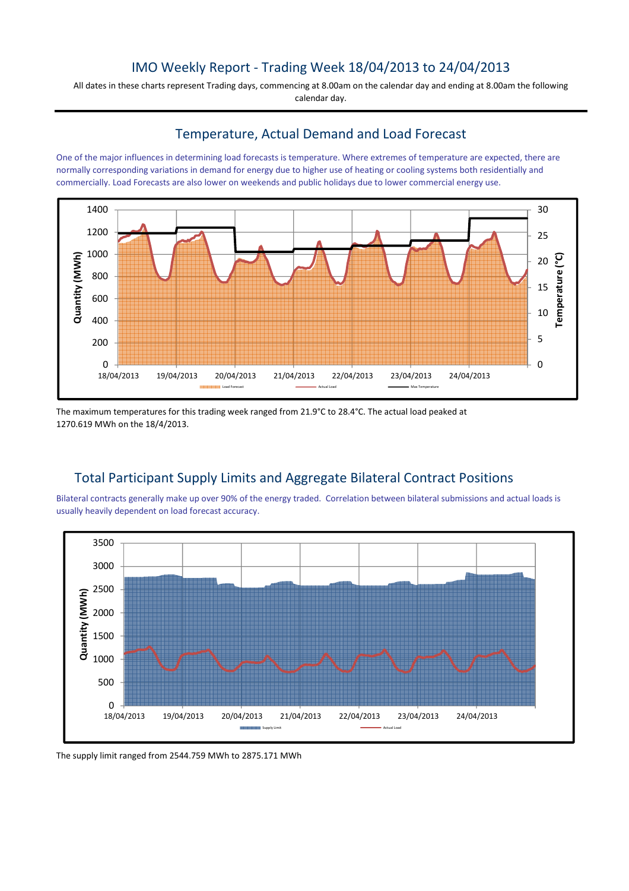## IMO Weekly Report - Trading Week 18/04/2013 to 24/04/2013

All dates in these charts represent Trading days, commencing at 8.00am on the calendar day and ending at 8.00am the following calendar day.

#### Temperature, Actual Demand and Load Forecast

One of the major influences in determining load forecasts is temperature. Where extremes of temperature are expected, there are normally corresponding variations in demand for energy due to higher use of heating or cooling systems both residentially and commercially. Load Forecasts are also lower on weekends and public holidays due to lower commercial energy use.



The maximum temperatures for this trading week ranged from 21.9°C to 28.4°C. The actual load peaked at 1270.619 MWh on the 18/4/2013.

# Total Participant Supply Limits and Aggregate Bilateral Contract Positions

Bilateral contracts generally make up over 90% of the energy traded. Correlation between bilateral submissions and actual loads is usually heavily dependent on load forecast accuracy.



The supply limit ranged from 2544.759 MWh to 2875.171 MWh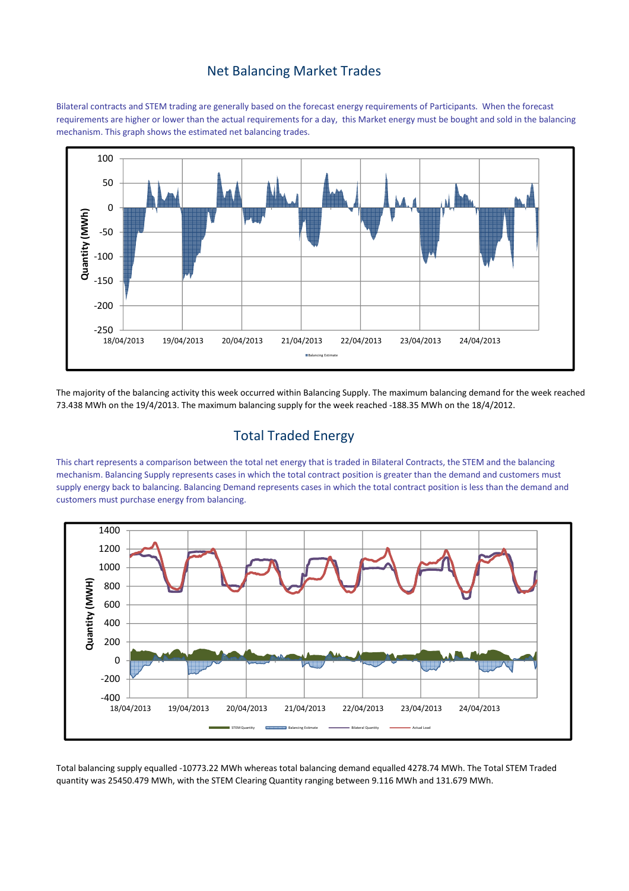### Net Balancing Market Trades

Bilateral contracts and STEM trading are generally based on the forecast energy requirements of Participants. When the forecast requirements are higher or lower than the actual requirements for a day, this Market energy must be bought and sold in the balancing mechanism. This graph shows the estimated net balancing trades.



The majority of the balancing activity this week occurred within Balancing Supply. The maximum balancing demand for the week reached 73.438 MWh on the 19/4/2013. The maximum balancing supply for the week reached -188.35 MWh on the 18/4/2012.

### Total Traded Energy

This chart represents a comparison between the total net energy that is traded in Bilateral Contracts, the STEM and the balancing mechanism. Balancing Supply represents cases in which the total contract position is greater than the demand and customers must supply energy back to balancing. Balancing Demand represents cases in which the total contract position is less than the demand and customers must purchase energy from balancing.



Total balancing supply equalled -10773.22 MWh whereas total balancing demand equalled 4278.74 MWh. The Total STEM Traded quantity was 25450.479 MWh, with the STEM Clearing Quantity ranging between 9.116 MWh and 131.679 MWh.